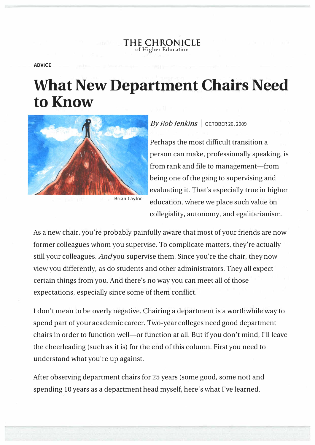**THE CHRONICLE**  of Higher Education

**ADVICE** 

## **What New Department Chairs Need to Know**



Brian Taylor

## *ByRob Jenkins* I OCTOBER 20, 2009

Perhaps the most difficult transition a person can make, professionally speaking, is from rank and file to management—from being one of the gang to supervising and evaluating it. That's especially true in higher education, where we place such value on collegiality, autonomy, and egalitarianism.

As a new chair, you're probably painfully aware that most of your friends are now former colleagues whom you supervise. To complicate matters, they're actually still your colleagues. *Andyou* supervise them. Since you're the chair, they now view you differently, as do students and other administrators. They all expect certain things from you. And there's no way you can meet all of those expectations, especially since some of them conflict.

I don't mean to be overly negative. Chairing a department is a worthwhile way to spend part of your academic career. Two-year colleges need good department chairs in order to function well—or function at all. But if you don't mind, I'll leave the cheerleading (such as it is) for the end of this column. First you need to understand what you're up against.

After observing department chairs for 25 years (some good, some not) and spending 10 years as a department head myself, here's what I've learned.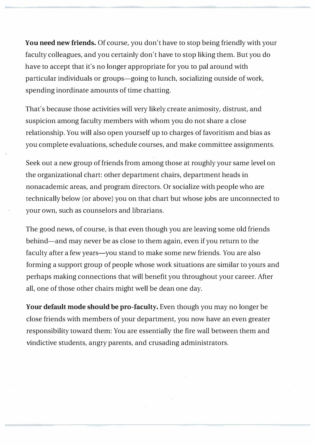**You need new friends.** Of course, you don't have to stop being friendly with your faculty colleagues, and you certainly don't have to stop liking them. But you do have to accept that it's no longer appropriate for you to pal around with particular individuals or groups-going to lunch, socializing outside of work, spending inordinate amounts of time chatting.

That's because those activities will very likely create animosity, distrust, and suspicion among faculty members with whom you do not share a close relationship. You will also open yourself up to charges of favoritism and bias as you complete evaluations, schedule courses, and make committee assignments.

Seek out a new group of friends from among those at roughly your same level on the organizational chart: other department chairs, department heads in nonacademic areas, and program directors. Or socialize with people who are technically below (or above) you on that chart but whose jobs are unconnected to your own, such as counselors and librarians.

The good news, of course, is that even though you are leaving some old friends behind—and may never be as close to them again, even if you return to the faculty after a few years-you stand to make some new friends. You are also forming a support group of people whose work situations are similar to yours and perhaps making connections that will benefit you throughout your career. After all, one of those other chairs might well be dean one day.

**Your default mode should be pro-faculty.** Even though you may no longer be close friends with members of your department, you now have an even greater responsibility toward them: You are essentially the fire wall between them and vindictive students, angry parents, and crusading administrators.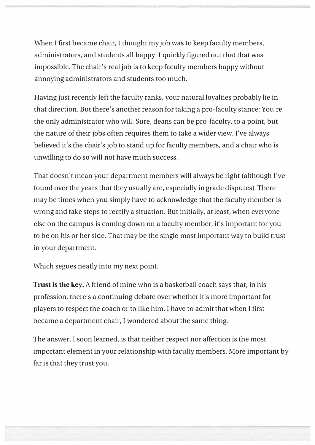When I first became chair, I thought my job was to keep faculty members, administrators, and students all happy. I quickly figured out that that was impossible. The chair's real job is to keep faculty members happy without annoying administrators and students too much.

Having just recently left the faculty ranks, your natural loyalties probably lie in that direction. But there's another reason for taking a pro-faculty stance: You're the only administrator who will. Sure, deans can be pro-faculty, to a point, but the nature of their jobs often requires them to take a wider view. I've always believed it's the chair's job to stand up for faculty members, and a chair who is unwilling to do so will not have much success.

That doesn't mean your department members will always be right (although I've found over the years that they usually are, especially in grade disputes). There may be times when you simply have to acknowledge that the faculty member is wrong and take steps to rectify a situation. But initially, at least, when everyone else on the campus is coming down on a faculty member, it's important for you to be on his or her side. That may be the single most important way to build trust in your department.

Which segues neatly into my next point.

**Trust is the key.** A friend of mine who is a basketball coach says that, in his profession, there's a continuing debate over whether it's more important for players to respect the coach or to like him. I have to admit that when I first became a department chair, I wondered about the same thing.

The answer, I soon learned, is that neither respect nor affection is the most important element in your relationship with faculty members. More important by far is that they trust you.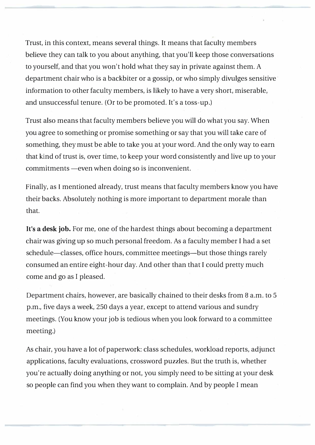Trust, in this context, means several things. It means that faculty members believe they can talk to you about anything, that you'll keep those conversations to yourself, and that you won't hold what they say in private against them. A department chair who is a backbiter or a gossip, or who simply divulges sensitive information to other faculty members, is likely to have a very short, miserable, and unsuccessful tenure. (Or to be promoted. It's a toss-up.)

Trust also means that faculty members believe you will do what you say. When you agree to something or promise something or say that you will take care of something, they must be able to take you at your word. And the only way to earn that kind of trust is, over time, to keep your word consistently and live up to your commitments - even when doing so is inconvenient.

Finally, as I mentioned already, trust means that faculty members know you have their backs. Absolutely nothing is more important to department morale than that.

**It's a desk job.** For me, one of the hardest things about becoming a department chair was giving up so much personal freedom. As a faculty member I had a set schedule—classes, office hours, committee meetings—but those things rarely consumed an entire eight-hour day. And other than that I could pretty much come and go as I pleased.

Department chairs, however, are basically chained to their desks from 8 a.m. to 5 p.m., five days a week, 250 days a year, except to attend various and sundry meetings. (You know your job is tedious when you look forward to a committee meeting.)

As chair, you have a lot of paperwork: class schedules, workload reports, adjunct applications, faculty evaluations, crossword puzzles. But the truth is, whether you're actually doing anything or not, you simply need to be sitting at your desk so people can find you when they want to complain. And by people I mean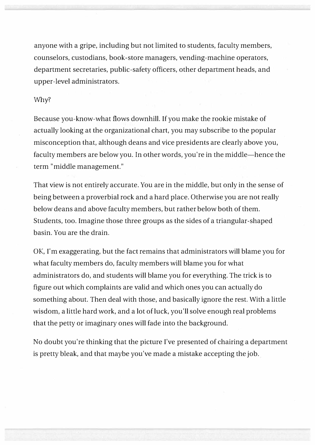anyone with a gripe, including but not limited to students, faculty members, counselors, custodians, book-store managers, vending-machine operators, department secretaries, public-safety officers, other department heads, and upper-level administrators.

## *Why?*

Because you-know-what flows downhill. If you make the rookie mistake of actually looking at the organizational chart, you may subscribe to the popular misconception that, although deans and vice presidents are clearly above you, faculty members are below you. In other words, you're in the middle-hence the term "middle management."

That view is not entirely accurate. You are in the middle, but only in the sense of being between a proverbial rock and a hard place. Otherwise you are not really below deans and above faculty members, but rather below both of them. Students, too. Imagine those three groups as the sides of a triangular-shaped basin. You are the drain.

OK, I'm exaggerating, but the fact remains that administrators will blame you for what faculty members do, faculty members will blame you for what administrators do, and students will blame you for everything. The trick is to figure out which complaints are valid and which ones you can actually do something about. Then deal with those, and basically ignore the rest. With a little wisdom, a little hard work, and a lot of luck, you'll solve enough real problems that the petty or imaginary ones will fade into the background.

No doubt you're thinking that the picture I've presented of chairing a department is pretty bleak, and that maybe you've made a mistake accepting the job.